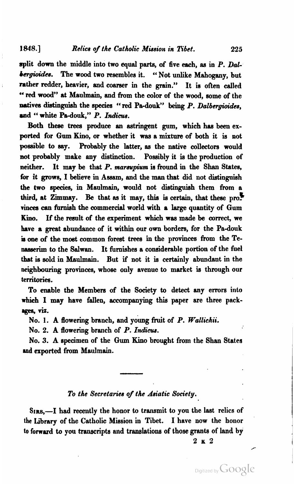#### **1848.**] *Relics of the Catholic Mission in Tibet.* **225**

split down the middle **into** two **equal** parts, of five each, **aa** in **P.** *Dd*  **bergioides.** The wood two resembles it. "Not unlike Mahogany, but rather redder, heavier, and coarser in the grain." It is often called " red wood" at Maulmain, and from the color of the wood, some of the natives distinguish the species "red Pa-douk" being P. Dalbergioides, and " white Pa-douk," P. Indicus.

Both these trees produce an astringent gum, which **hae** been exported for **Gum** Kino, or whether it **was** a mixture of both it is not possible to **say.** Probably the latter, **aa** the native collectors would not probably make any distinction. Possibly it is the production of neither. It may be that P. *marsupium* is fround in the Shan States, for it grows, I believe in Assam, and the man that did not distinguish the two species, in Manlmain, would not diatinguiah them from a third, at  $\text{Zimmay.}$  Be that as it may, this is certain, that these pro $\blacksquare$ rinces can furnish the commercial world with a large quantity of Gum Kino. If the result of the experiment which was made be correct, we have a great abundance of it within our own borders, for the Pa-douk is one of the most common forest trees in the provinces from the Te**nssserim to** the Galwan. It hrnishes a considerable portion of the fuel that **ie** sold in **Maulmain.** But if not it is certainly abundant in the neighbouring provinces, whoae only avenue to market **ia** through our territories.

To enable the Members of the Society to detect any errors into which I may have fallen, accompanying this paper are three packages, viz.

No. 1. A flowering branch, and young fruit of P. *Wallichii.* 

No. *2. A* flowering branch of P. *Indicw.* 

No. 3. A epecimen of the Gum Kino brought from the Shan Statea **md** exported from Maulmain.

## *To the Secretaries* **of** *the Auiatic Society.*

SIRS,—I had recently the honor to transmit to you the last relics of **the** Library of the Catholic Mission in Tibet. I have now the honor **to** forward to you transcripts and translatione of those grants of land by

**2~2** 

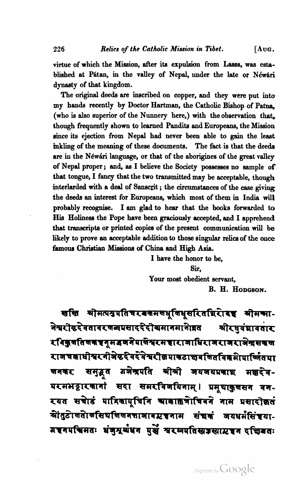virtue of which the Mission, after its expulsion from Lassa, was established at Pátan, in the valley of Nepal, under the late or Néwari dynasty of that kingdom.

The original deeds are inscribed on copper, and they were put into my hands recently by Doctor **Hartman,** the Catholic Bishop of Patna, (who is also superior of the Nunnery here,) with the observation that, though frequently shown to learned Pandits and Europeans, the Mission since its ejection from Nepal had never been able to gain the least inkling of the meaning of these documenta. The fact is that the deeds are in the Néwári language, or that of the aborigines of the great valley of Nepal proper; and, aa I believe the Society poseeaees no sample of that tongue, I fancy that the two transmitted may be acceptable, though interlarded with a deal of Sanscrit; the circumstances of the case giving the deeds an interest for Europeans, which most of them in India will probably recogniae. I **am** glad to hear that the books forwarded to **Hie** Holiness the Pope have been graciously sccepted, **and** I apprehend that transcripts or printed copies of the present communication will be likely to prove an acceptable addition to those singular **relics** of the **ouce**  famous Christian Missions of China and High Asia.

> I have the honor to be, **Sir,**  Your most obedient servant, B. H. HODGSON.

सत्ति श्रीमत्पग्रपतिचरबकमलधूलिधूसरितथिरोदह श्रीमन्मा-नेश्वरीदृदेवतावर जव्यपसाददेदीयमानमानेान्नत श्रीरघुवंशावतार रविकुर्णातणकचनुमडणनेपालेश्वरमचाराणाधिराजराजराजेश्वसकल राजचकाधीयरनीजेष्ठरेवरेवेयरीक्रमाकटाच्चबलितविक्रमेापार्ष्जितपा समुद्गत गजेन्द्रपति श्रीश्री जयजयप्रकाश मक्षदेव-लनकर परमभट्टारकानां सदा समरविजयिनाम् । प्रमुषाकुलसन वन-रयत सचाडं पात्रिकापुचिनि आकाक्षेत्रोचिवने नाम प्रसादोक्कतं श्रींतुटोखतो बसियलिखनत्ताञावाटचनाम संचनं जयधर्मसंख्या-गहनपचिमतः धंजुग्रुर्थधन पुर्से म्वरम्वपतिस्वज्ञस्वार्यहन दचियतः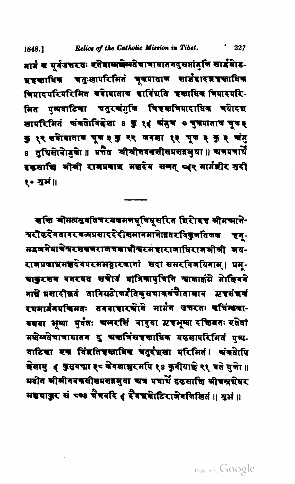Relics of the Catholic Mission in Tibet. 1848.1

मार्त्र च यूर्वेउत्तरतः रतेवास्मबेन्गतेचात्राघातनदुसप्तांगुनि सार्द्रघाड-भ्रष्टखाधिक चतुःखापरिमितं चूकपाताक सार्डदादश्रष्टखाधिक चिमादपरिपरिमित बबेागाताब दाविंशति इक्षाधिक चिपादपरि-.<br>मित पुव्यवाटिका चतुर<mark>चं</mark>गुलि चि<del>इ</del>स्तचिपादाधिक चयेादग्न खापरिमितं अंकतेरविद्येखा 8 कु १.४ अंगुण ७ चुकपाताल चूल३ कु १२ चने पाताब भूव ३ कु २२ वनखा १३ भूव ३ कु ३ वंगु 8 तुचिसोवेागुले ॥ प्रतेत श्रीश्रीनवकसीसप्रसन्नभुया ॥ अत्रमत्रार्थे दृष्टसाचि भोत्री रावप्रवाद्य मज्ञदेव समत् प्वर मार्गशीर श्रुदी १० श्वभं॥

खखि मीमत्यश्रुपतिचरखक्रम बधू लिधू सरित शिरी बड़ श्रीमन्माने-यरौटरेवतावर बल्धप्रसादरे दीखमानमाने ान्नतर विकुल तिलक इन-मद्रवनेपाखेयरसवसराजचबाधीसरमद्दाराजाधिराजश्री अय-राजप्रकाभ्रमश्चरेवपरमभट्टारकार्गा सदा समरविजयिनाम् । प्रम्-बाकुरसन बनरयत सचाडं गात्रिकापुचिनि माजाकंगे गेाहिबने गाम्रे प्रसादीकृतं तानियटोखर्हतिपुसचाकलंचाताजाव म्रष्टसंचकं रचमार्प्रनमचिमतः तववाशरखोने मार्गन उत्तरतः वधिन्तवा-यद्यवा भूम्या पुर्वतः चामरसिं वावुया एषभूम्या दचिवतः रतेवां मधेय्वतेचात्राघातन दु अस्तत्रिंसहस्राधिक वठखापरिमितं प्रष्य-वाटिका रक विंद्यतिषक्ताधिक चतुर्दप्रखा परिमितं। अंकतेर्पि केखायु ( कुसयचा ३ वेवखास्नुरमपि १८ कुनीयाई २१ वते युले।॥ प्रदोत भीमीनवकसीसप्रसन्नमुया अत्र पत्रार्थे दृष्टसाचि सीचन्द्रग्रेयर मह्यापुर सं ८०० चैत्रवदि ( दैवच्यकोटिराजेनलिखितं ॥ श्रुभं ॥

 $^{\prime}$  227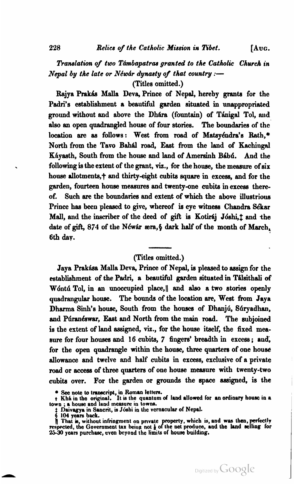## **Translation of two Támbapatras granted to the Catholic Church in** *Nepal by the late or Néwar dynasty of that country :-*

(Titles omitted.)

Rajya Prakás Malla Deva, Prince of Nepal, hereby grants for the Padri's establishment a beautiful garden situnted in unappropriated ground without and above the Dhára (fountain) of Tánigal Tol, and also an open quadrangled house of four stories. The boundaries of the location are as follows: West from road of Mataydndra's **Rath,\***  North from the Tavo Bahál road, East from the land of Kachingal Káyasth, South from the house and land of Amersinh Bábú. And the following **ia** the extent of the grant, **viz.,** for the house, the measure of **six**  house allotments,  $\dagger$  and thirty-eight cubits square in excess, and for the garden, fourteen house measures and twenty-one cubita in exceaa thereof. Such are the boundaries and extent of which the above illustrious Prince has been pleased to give, whereof is eye witness Chandra Sékar Mall, and the inscriber of the deed of gift is Kotiraj Jóshi,<sup>†</sup> and the date of gift, 874 of the Néwár æra, § dark half of the month of March, 6th **day.** 

#### (Titles omitted.)

Jaya Prakása Malla Deva, Prince of Nepal, is pleased to assign for the establishment of the Padri, a beautiful garden situated in Talsithali of Wontu Tol, in an unoccupied place, and also a two stories openly quadrangular house. The bounds of the location are, West from Jaya Dharma Sinh's house, South from the houses of Dhanjú, Súryadhan, and Púranéswar, East and North from the main road. The subjoined is the extent of land assigned, **viz.,** for the house itself, the fixed measure for four houses and 16 cubits, 7 fingers' breadth in excess; and, for the open quadrangle within the house, three quarters of one house allowance and twelve and half cubita in excess, exclusive of a private road or **accese** of three quarters of one house measure with twenty-two cubita over. For the garden or grounds the **apace** assigned, is the

**e** See note to transcript, in Roman letters.<br> **t** Khá in the original. It is the quantum of land allowed for an ordinary house in a<br>
town ; a house and land measure in towns.

**t Daivagya in Sancrit, is Joshi in the vernacular of Nepal. 6 104 years back.** 

That is, without infringment on private property, which is, and was then, perfectly respected, the Government tax being not  $\frac{1}{2}$  of the net produce, and the land selling for **25-30 years purchase, even beyond the limib of house building.**